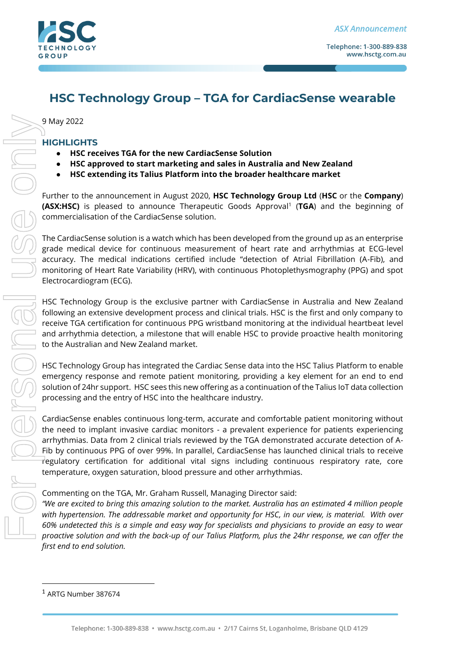

# **HSC Technology Group – TGA for CardiacSense wearable**

9 May 2022

## **HIGHLIGHTS**

- **HSC receives TGA for the new CardiacSense Solution**
- **HSC approved to start marketing and sales in Australia and New Zealand**
- **HSC extending its Talius Platform into the broader healthcare market**

Further to the announcement in August 2020, **HSC Technology Group Ltd** (**HSC** or the **Company**) **(ASX:HSC)** is pleased to announce Therapeutic Goods Approval<sup>1</sup> (TGA) and the beginning of commercialisation of the CardiacSense solution.

The CardiacSense solution is a watch which has been developed from the ground up as an enterprise grade medical device for continuous measurement of heart rate and arrhythmias at ECG-level accuracy. The medical indications certified include "detection of Atrial Fibrillation (A-Fib), and monitoring of Heart Rate Variability (HRV), with continuous Photoplethysmography (PPG) and spot Electrocardiogram (ECG).

HSC Technology Group is the exclusive partner with CardiacSense in Australia and New Zealand following an extensive development process and clinical trials. HSC is the first and only company to receive TGA certification for continuous PPG wristband monitoring at the individual heartbeat level and arrhythmia detection, a milestone that will enable HSC to provide proactive health monitoring to the Australian and New Zealand market.

HSC Technology Group has integrated the Cardiac Sense data into the HSC Talius Platform to enable emergency response and remote patient monitoring, providing a key element for an end to end solution of 24hr support. HSC sees this new offering as a continuation of the Talius IoT data collection processing and the entry of HSC into the healthcare industry.

CardiacSense enables continuous long-term, accurate and comfortable patient monitoring without the need to implant invasive cardiac monitors - a prevalent experience for patients experiencing arrhythmias. Data from 2 clinical trials reviewed by the TGA demonstrated accurate detection of A-Fib by continuous PPG of over 99%. In parallel, CardiacSense has launched clinical trials to receive regulatory certification for additional vital signs including continuous respiratory rate, core temperature, oxygen saturation, blood pressure and other arrhythmias.

#### Commenting on the TGA, Mr. Graham Russell, Managing Director said:

*"We are excited to bring this amazing solution to the market. Australia has an estimated 4 million people with hypertension. The addressable market and opportunity for HSC, in our view, is material. With over 60% undetected this is a simple and easy way for specialists and physicians to provide an easy to wear proactive solution and with the back-up of our Talius Platform, plus the 24hr response, we can offer the first end to end solution.*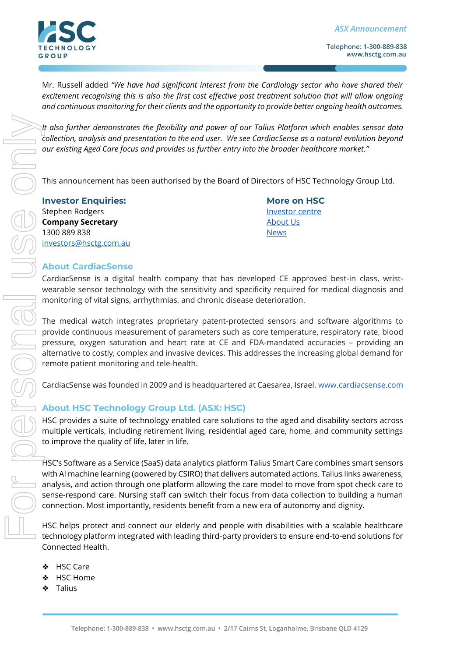

Telephone: 1-300-889-838 www.hsctg.com.au

Mr. Russell added *"We have had significant interest from the Cardiology sector who have shared their excitement recognising this is also the first cost effective post treatment solution that will allow ongoing and continuous monitoring for their clients and the opportunity to provide better ongoing health outcomes.*

*It also further demonstrates the flexibility and power of our Talius Platform which enables sensor data collection, analysis and presentation to the end user. We see CardiacSense as a natural evolution beyond our existing Aged Care focus and provides us further entry into the broader healthcare market."*

This announcement has been authorised by the Board of Directors of HSC Technology Group Ltd.

**Investor Enquiries: More on HSC** Stephen Rodgers and [Investor centre](https://www.hsctg.com.au/investor-centre/) in the Investor centre in the Investor centre **Company Secretary [About Us](https://www.hsctg.com.au/about/)** 1300 889 838 [News](https://www.hsctg.com.au/news/) [investors@hsctg.com.au](mailto:investors@hsctg.com.au)

### **About CardiacSense**

CardiacSense is a digital health company that has developed CE approved best-in class, wristwearable sensor technology with the sensitivity and specificity required for medical diagnosis and monitoring of vital signs, arrhythmias, and chronic disease deterioration.

The medical watch integrates proprietary patent-protected sensors and software algorithms to provide continuous measurement of parameters such as core temperature, respiratory rate, blood pressure, oxygen saturation and heart rate at CE and FDA-mandated accuracies – providing an alternative to costly, complex and invasive devices. This addresses the increasing global demand for remote patient monitoring and tele-health.

CardiacSense was founded in 2009 and is headquartered at Caesarea, Israel. [www.cardiacsense.com](https://www.cardiacsense.com/)

# **About HSC Technology Group Ltd. (ASX: HSC)**

HSC provides a suite of technology enabled care solutions to the aged and disability sectors across multiple verticals, including retirement living, residential aged care, home, and community settings to improve the quality of life, later in life.

HSC's Software as a Service (SaaS) data analytics platform Talius Smart Care combines smart sensors with AI machine learning (powered by CSIRO) that delivers automated actions. Talius links awareness, analysis, and action through one platform allowing the care model to move from spot check care to sense-respond care. Nursing staff can switch their focus from data collection to building a human connection. Most importantly, residents benefit from a new era of autonomy and dignity.

HSC helps protect and connect our elderly and people with disabilities with a scalable healthcare technology platform integrated with leading third-party providers to ensure end-to-end solutions for Connected Health.

- ❖ HSC Care
- ❖ HSC Home
- ❖ Talius